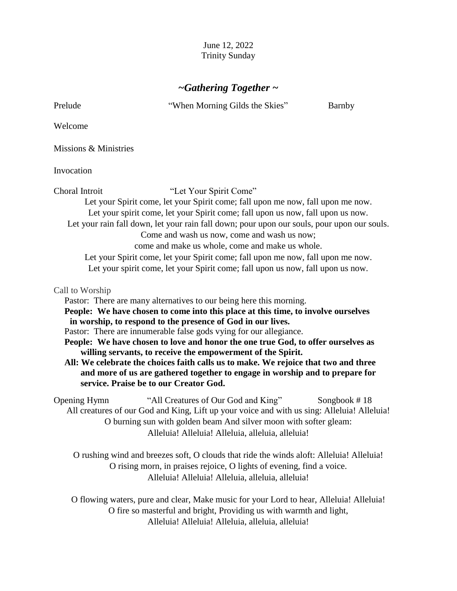June 12, 2022 Trinity Sunday

## *~Gathering Together ~*

Prelude "When Morning Gilds the Skies" Barnby

Welcome

Missions & Ministries

Invocation

Choral Introit "Let Your Spirit Come"

Let your Spirit come, let your Spirit come; fall upon me now, fall upon me now. Let your spirit come, let your Spirit come; fall upon us now, fall upon us now. Let your rain fall down, let your rain fall down; pour upon our souls, pour upon our souls. Come and wash us now, come and wash us now;

come and make us whole, come and make us whole.

Let your Spirit come, let your Spirit come; fall upon me now, fall upon me now.

Let your spirit come, let your Spirit come; fall upon us now, fall upon us now.

Call to Worship

Pastor: There are many alternatives to our being here this morning.

**People: We have chosen to come into this place at this time, to involve ourselves in worship, to respond to the presence of God in our lives.** 

Pastor: There are innumerable false gods vying for our allegiance.

**People: We have chosen to love and honor the one true God, to offer ourselves as willing servants, to receive the empowerment of the Spirit.** 

**All: We celebrate the choices faith calls us to make. We rejoice that two and three and more of us are gathered together to engage in worship and to prepare for service. Praise be to our Creator God.** 

Opening Hymn 
<sup>"All Creatures of Our God and King" Songbook #18</sup> All creatures of our God and King, Lift up your voice and with us sing: Alleluia! Alleluia! O burning sun with golden beam And silver moon with softer gleam: Alleluia! Alleluia! Alleluia, alleluia, alleluia!

O rushing wind and breezes soft, O clouds that ride the winds aloft: Alleluia! Alleluia! O rising morn, in praises rejoice, O lights of evening, find a voice. Alleluia! Alleluia! Alleluia, alleluia, alleluia!

O flowing waters, pure and clear, Make music for your Lord to hear, Alleluia! Alleluia! O fire so masterful and bright, Providing us with warmth and light, Alleluia! Alleluia! Alleluia, alleluia, alleluia!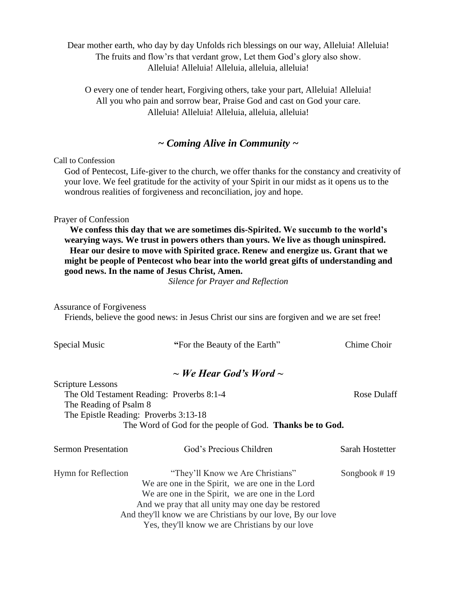Dear mother earth, who day by day Unfolds rich blessings on our way, Alleluia! Alleluia! The fruits and flow'rs that verdant grow, Let them God's glory also show. Alleluia! Alleluia! Alleluia, alleluia, alleluia!

O every one of tender heart, Forgiving others, take your part, Alleluia! Alleluia! All you who pain and sorrow bear, Praise God and cast on God your care. Alleluia! Alleluia! Alleluia, alleluia, alleluia!

### *~ Coming Alive in Community ~*

Call to Confession

God of Pentecost, Life-giver to the church, we offer thanks for the constancy and creativity of your love. We feel gratitude for the activity of your Spirit in our midst as it opens us to the wondrous realities of forgiveness and reconciliation, joy and hope.

#### Prayer of Confession

**We confess this day that we are sometimes dis-Spirited. We succumb to the world's wearying ways. We trust in powers others than yours. We live as though uninspired. Hear our desire to move with Spirited grace. Renew and energize us. Grant that we might be people of Pentecost who bear into the world great gifts of understanding and good news. In the name of Jesus Christ, Amen.** 

*Silence for Prayer and Reflection*

Assurance of Forgiveness

Friends, believe the good news: in Jesus Christ our sins are forgiven and we are set free!

| Special Music              | "For the Beauty of the Earth"                               | Chime Choir     |
|----------------------------|-------------------------------------------------------------|-----------------|
|                            | $\sim$ We Hear God's Word $\sim$                            |                 |
| Scripture Lessons          |                                                             |                 |
|                            | The Old Testament Reading: Proverbs 8:1-4                   | Rose Dulaff     |
| The Reading of Psalm 8     |                                                             |                 |
|                            | The Epistle Reading: Proverbs 3:13-18                       |                 |
|                            | The Word of God for the people of God. Thanks be to God.    |                 |
| <b>Sermon Presentation</b> | God's Precious Children                                     | Sarah Hostetter |
| Hymn for Reflection        | "They'll Know we Are Christians"                            | Songbook $# 19$ |
|                            | We are one in the Spirit, we are one in the Lord            |                 |
|                            | We are one in the Spirit, we are one in the Lord            |                 |
|                            | And we pray that all unity may one day be restored          |                 |
|                            | And they'll know we are Christians by our love, By our love |                 |
|                            | Yes, they'll know we are Christians by our love             |                 |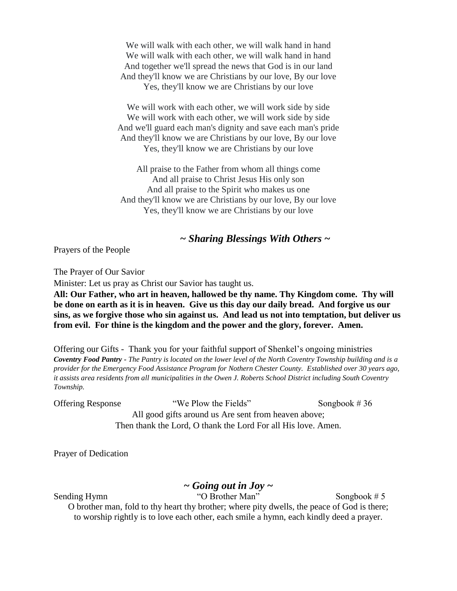We will walk with each other, we will walk hand in hand We will walk with each other, we will walk hand in hand And together we'll spread the news that God is in our land And they'll know we are Christians by our love, By our love Yes, they'll know we are Christians by our love

We will work with each other, we will work side by side We will work with each other, we will work side by side And we'll guard each man's dignity and save each man's pride And they'll know we are Christians by our love, By our love Yes, they'll know we are Christians by our love

All praise to the Father from whom all things come And all praise to Christ Jesus His only son And all praise to the Spirit who makes us one And they'll know we are Christians by our love, By our love Yes, they'll know we are Christians by our love

### *~ Sharing Blessings With Others ~*

Prayers of the People

The Prayer of Our Savior

Minister: Let us pray as Christ our Savior has taught us.

**All: Our Father, who art in heaven, hallowed be thy name. Thy Kingdom come. Thy will be done on earth as it is in heaven. Give us this day our daily bread. And forgive us our sins, as we forgive those who sin against us. And lead us not into temptation, but deliver us from evil. For thine is the kingdom and the power and the glory, forever. Amen.**

Offering our Gifts - Thank you for your faithful support of Shenkel's ongoing ministries *Coventry Food Pantry - The Pantry is located on the lower level of the North Coventry Township building and is a provider for the Emergency Food Assistance Program for Nothern Chester County. Established over 30 years ago, it assists area residents from all municipalities in the Owen J. Roberts School District including South Coventry Township.*

Offering Response "We Plow the Fields" Songbook # 36 All good gifts around us Are sent from heaven above; Then thank the Lord, O thank the Lord For all His love. Amen.

Prayer of Dedication

# *~ Going out in Joy ~*

O brother man, fold to thy heart thy brother; where pity dwells, the peace of God is there; to worship rightly is to love each other, each smile a hymn, each kindly deed a prayer.

Sending Hymn "O Brother Man" Songbook # 5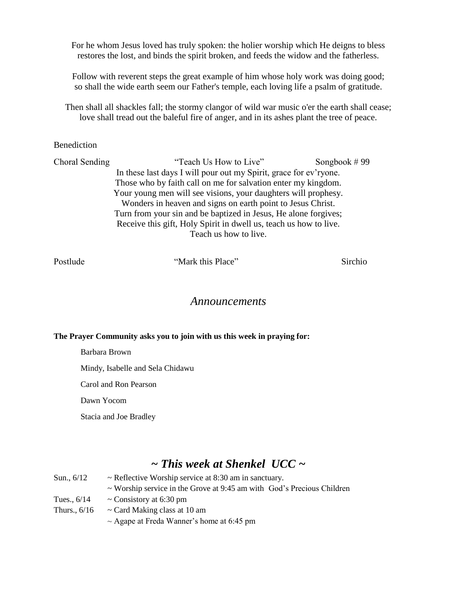For he whom Jesus loved has truly spoken: the holier worship which He deigns to bless restores the lost, and binds the spirit broken, and feeds the widow and the fatherless.

Follow with reverent steps the great example of him whose holy work was doing good; so shall the wide earth seem our Father's temple, each loving life a psalm of gratitude.

Then shall all shackles fall; the stormy clangor of wild war music o'er the earth shall cease; love shall tread out the baleful fire of anger, and in its ashes plant the tree of peace.

### Benediction

Choral Sending "Teach Us How to Live" Songbook # 99 In these last days I will pour out my Spirit, grace for ev'ryone. Those who by faith call on me for salvation enter my kingdom. Your young men will see visions, your daughters will prophesy. Wonders in heaven and signs on earth point to Jesus Christ. Turn from your sin and be baptized in Jesus, He alone forgives; Receive this gift, Holy Spirit in dwell us, teach us how to live. Teach us how to live.

Postlude "Mark this Place" Sirchio

### *Announcements*

#### **The Prayer Community asks you to join with us this week in praying for:**

Barbara Brown

Mindy, Isabelle and Sela Chidawu

Carol and Ron Pearson

Dawn Yocom

Stacia and Joe Bradley

# *~ This week at Shenkel UCC ~*

| Sun., 6/12   | $\sim$ Reflective Worship service at 8:30 am in sanctuary.                  |
|--------------|-----------------------------------------------------------------------------|
|              | $\sim$ Worship service in the Grove at 9:45 am with God's Precious Children |
| Tues., 6/14  | ~ Consistory at 6:30 pm                                                     |
| Thurs., 6/16 | $\sim$ Card Making class at 10 am                                           |
|              | $\sim$ Agape at Freda Wanner's home at 6:45 pm                              |